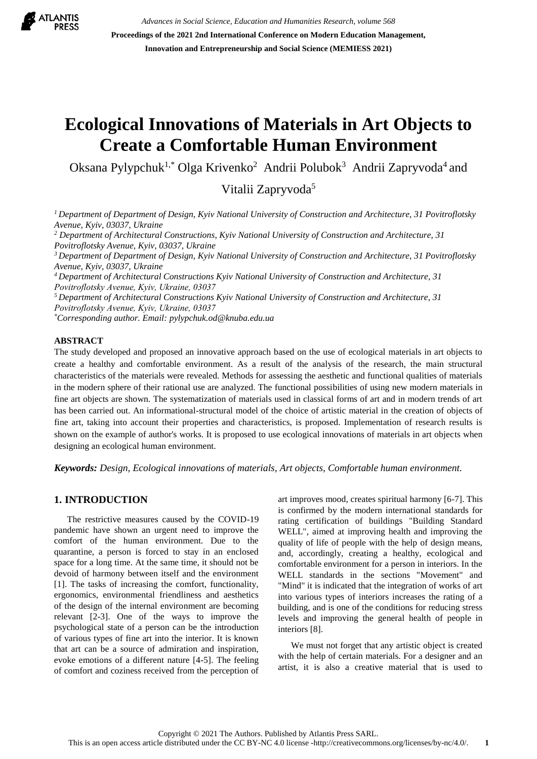

*Advances in Social Science, Education and Humanities Research, volume 568* **Proceedings of the 2021 2nd International Conference on Modern Education Management, Innovation and Entrepreneurship and Social Science (MEMIESS 2021)**

# **Ecological Innovations of Materials in Art Objects to Create a Comfortable Human Environment**

Oksana Pylypchuk<sup>1,\*</sup> Olga Krivenko<sup>2</sup> Andrii Polubok<sup>3</sup> Andrii Zapryvoda<sup>4</sup> and

Vitalii Zapryvoda<sup>5</sup>

*<sup>1</sup>Department of Department of Design, Kyiv National University of Construction and Architecture, 31 Povitroflotsky Avenue, Kyiv, 03037, Ukraine*

*<sup>2</sup> Department of Architectural Constructions, Kyiv National University of Construction and Architecture, 31 Povitroflotsky Avenue, Kyiv, 03037, Ukraine*

*<sup>3</sup> Department of Department of Design, Kyiv National University of Construction and Architecture, 31 Povitroflotsky Avenue, Kyiv, 03037, Ukraine*

*<sup>4</sup> Department of Architectural Constructions Kyiv National University of Construction and Architecture, 31 Povіtroflotsky Avenue, Kyiv, Ukraine, 03037*

*<sup>5</sup>Department of Architectural Constructions Kyiv National University of Construction and Architecture, 31 Povіtroflotsky Avenue, Kyiv, Ukraine, 03037*

*\*Corresponding author. Email: [pylypchuk.od@knuba.edu.ua](mailto:pylypchuk.od@knuba.edu.ua)*

#### **ABSTRACT**

The study developed and proposed an innovative approach based on the use of ecological materials in art objects to create a healthy and comfortable environment. As a result of the analysis of the research, the main structural characteristics of the materials were revealed. Methods for assessing the aesthetic and functional qualities of materials in the modern sphere of their rational use are analyzed. The functional possibilities of using new modern materials in fine art objects are shown. The systematization of materials used in classical forms of art and in modern trends of art has been carried out. An informational-structural model of the choice of artistic material in the creation of objects of fine art, taking into account their properties and characteristics, is proposed. Implementation of research results is shown on the example of author's works. It is proposed to use ecological innovations of materials in art objects when designing an ecological human environment.

*Keywords: Design, Ecological innovations of materials, Art objects, Comfortable human environment.*

# **1. INTRODUCTION**

The restrictive measures caused by the COVID-19 pandemic have shown an urgent need to improve the comfort of the human environment. Due to the quarantine, a person is forced to stay in an enclosed space for a long time. At the same time, it should not be devoid of harmony between itself and the environment [1]. The tasks of increasing the comfort, functionality, ergonomics, environmental friendliness and aesthetics of the design of the internal environment are becoming relevant [2-3]. One of the ways to improve the psychological state of a person can be the introduction of various types of fine art into the interior. It is known that art can be a source of admiration and inspiration, evoke emotions of a different nature [4-5]. The feeling of comfort and coziness received from the perception of art improves mood, creates spiritual harmony [6-7]. This is confirmed by the modern international standards for rating certification of buildings "Building Standard WELL", aimed at improving health and improving the quality of life of people with the help of design means, and, accordingly, creating a healthy, ecological and comfortable environment for a person in interiors. In the WELL standards in the sections "Movement" and "Mind" it is indicated that the integration of works of art into various types of interiors increases the rating of a building, and is one of the conditions for reducing stress levels and improving the general health of people in interiors [8].

We must not forget that any artistic object is created with the help of certain materials. For a designer and an artist, it is also a creative material that is used to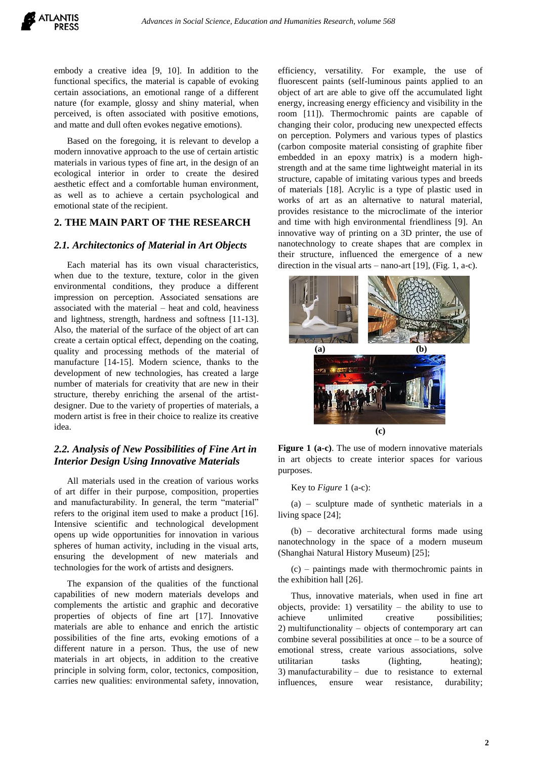embody a creative idea [9, 10]. In addition to the functional specifics, the material is capable of evoking certain associations, an emotional range of a different nature (for example, glossy and shiny material, when perceived, is often associated with positive emotions, and matte and dull often evokes negative emotions).

Based on the foregoing, it is relevant to develop a modern innovative approach to the use of certain artistic materials in various types of fine art, in the design of an ecological interior in order to create the desired aesthetic effect and a comfortable human environment, as well as to achieve a certain psychological and emotional state of the recipient.

## **2. THE MAIN PART OF THE RESEARCH**

## *2.1. Architectonics of Material in Art Objects*

Each material has its own visual characteristics, when due to the texture, texture, color in the given environmental conditions, they produce a different impression on perception. Associated sensations are associated with the material – heat and cold, heaviness and lightness, strength, hardness and softness [11-13]. Also, the material of the surface of the object of art can create a certain optical effect, depending on the coating, quality and processing methods of the material of manufacture [14-15]. Modern science, thanks to the development of new technologies, has created a large number of materials for creativity that are new in their structure, thereby enriching the arsenal of the artistdesigner. Due to the variety of properties of materials, a modern artist is free in their choice to realize its creative idea.

## *2.2. Analysis of New Possibilities of Fine Art in Interior Design Using Innovative Materials*

All materials used in the creation of various works of art differ in their purpose, composition, properties and manufacturability. In general, the term "material" refers to the original item used to make a product [16]. Intensive scientific and technological development opens up wide opportunities for innovation in various spheres of human activity, including in the visual arts, ensuring the development of new materials and technologies for the work of artists and designers.

The expansion of the qualities of the functional capabilities of new modern materials develops and complements the artistic and graphic and decorative properties of objects of fine art [17]. Innovative materials are able to enhance and enrich the artistic possibilities of the fine arts, evoking emotions of a different nature in a person. Thus, the use of new materials in art objects, in addition to the creative principle in solving form, color, tectonics, composition, carries new qualities: environmental safety, innovation, efficiency, versatility. For example, the use of fluorescent paints (self-luminous paints applied to an object of art are able to give off the accumulated light energy, increasing energy efficiency and visibility in the room [11]). Thermochromic paints are capable of changing their color, producing new unexpected effects on perception. Polymers and various types of plastics (carbon composite material consisting of graphite fiber embedded in an epoxy matrix) is a modern highstrength and at the same time lightweight material in its structure, capable of imitating various types and breeds of materials [18]. Acrylic is a type of plastic used in works of art as an alternative to natural material, provides resistance to the microclimate of the interior and time with high environmental friendliness [9]. An innovative way of printing on a 3D printer, the use of nanotechnology to create shapes that are complex in their structure, influenced the emergence of a new direction in the visual arts – nano-art  $[19]$ , (Fig. 1, a-c).





#### Key to *Figure* 1 (a-c):

(a) – sculpture made of synthetic materials in a living space [24];

(b) – decorative architectural forms made using nanotechnology in the space of a modern museum (Shanghai Natural History Museum) [25];

(c) – paintings made with thermochromic paints in the exhibition hall [26].

Thus, innovative materials, when used in fine art objects, provide: 1) versatility – the ability to use to achieve unlimited creative possibilities; 2) multifunctionality – objects of contemporary art can combine several possibilities at once – to be a source of emotional stress, create various associations, solve utilitarian tasks (lighting, heating); 3) manufacturability – due to resistance to external influences, ensure wear resistance, durability;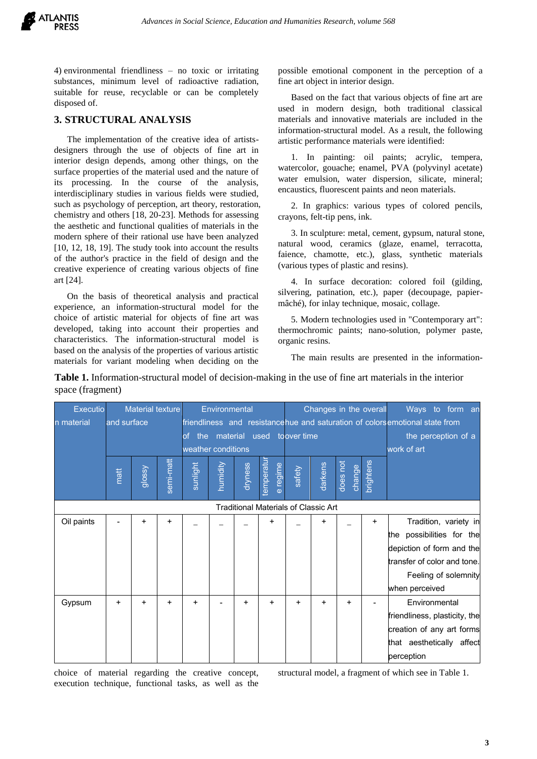

4) environmental friendliness – no toxic or irritating substances, minimum level of radioactive radiation, suitable for reuse, recyclable or can be completely disposed of.

## **3. STRUCTURAL ANALYSIS**

The implementation of the creative idea of artistsdesigners through the use of objects of fine art in interior design depends, among other things, on the surface properties of the material used and the nature of its processing. In the course of the analysis, interdisciplinary studies in various fields were studied, such as psychology of perception, art theory, restoration, chemistry and others [18, 20-23]. Methods for assessing the aesthetic and functional qualities of materials in the modern sphere of their rational use have been analyzed [10, 12, 18, 19]. The study took into account the results of the author's practice in the field of design and the creative experience of creating various objects of fine art [24].

On the basis of theoretical analysis and practical experience, an information-structural model for the choice of artistic material for objects of fine art was developed, taking into account their properties and characteristics. The information-structural model is based on the analysis of the properties of various artistic materials for variant modeling when deciding on the possible emotional component in the perception of a fine art object in interior design.

Based on the fact that various objects of fine art are used in modern design, both traditional classical materials and innovative materials are included in the information-structural model. As a result, the following artistic performance materials were identified:

1. In painting: oil paints; acrylic, tempera, watercolor, gouache; enamel, PVA (polyvinyl acetate) water emulsion, water dispersion, silicate, mineral; encaustics, fluorescent paints and neon materials.

2. In graphics: various types of colored pencils, crayons, felt-tip pens, ink.

3. In sculpture: metal, cement, gypsum, natural stone, natural wood, ceramics (glaze, enamel, terracotta, faience, chamotte, etc.), glass, synthetic materials (various types of plastic and resins).

4. In surface decoration: colored foil (gilding, silvering, patination, etc.), paper (decoupage, papiermâché), for inlay technique, mosaic, collage.

5. Modern technologies used in "Contemporary art": thermochromic paints; nano-solution, polymer paste, organic resins.

The main results are presented in the information-

| Executio                                    |             | Material texture |           |                    | Environmental |         |                               |           |           | Changes in the overall | Ways to form an     |                                                                             |
|---------------------------------------------|-------------|------------------|-----------|--------------------|---------------|---------|-------------------------------|-----------|-----------|------------------------|---------------------|-----------------------------------------------------------------------------|
| n material                                  | and surface |                  |           |                    |               |         |                               |           |           |                        |                     | friendliness and resistancehue and saturation of colorsemotional state from |
|                                             |             |                  |           | of                 |               |         | the material used toover time |           |           |                        | the perception of a |                                                                             |
|                                             |             |                  |           | weather conditions |               |         |                               |           |           |                        | work of art         |                                                                             |
|                                             | matt        | glossy           | semi-matt | sunlight           | humidity      | dryness | temperatur<br>e regime        | safety    | darkens   | does not<br>change     | brightens           |                                                                             |
| <b>Traditional Materials of Classic Art</b> |             |                  |           |                    |               |         |                               |           |           |                        |                     |                                                                             |
| Oil paints                                  |             | $\ddot{}$        | $\ddot{}$ |                    |               |         | +                             |           | $\ddot{}$ |                        | $\ddot{}$           | Tradition, variety in                                                       |
|                                             |             |                  |           |                    |               |         |                               |           |           |                        |                     | the possibilities for the                                                   |
|                                             |             |                  |           |                    |               |         |                               |           |           |                        |                     | depiction of form and the                                                   |
|                                             |             |                  |           |                    |               |         |                               |           |           |                        |                     | transfer of color and tone.                                                 |
|                                             |             |                  |           |                    |               |         |                               |           |           |                        |                     | Feeling of solemnity                                                        |
|                                             |             |                  |           |                    |               |         |                               |           |           |                        |                     | when perceived                                                              |
| Gypsum                                      | $\ddot{}$   | +                | +         | $\ddot{}$          |               | +       | $\ddot{}$                     | $\ddot{}$ | ÷         | +                      |                     | Environmental                                                               |
|                                             |             |                  |           |                    |               |         |                               |           |           |                        |                     | friendliness, plasticity, the                                               |
|                                             |             |                  |           |                    |               |         |                               |           |           |                        |                     | creation of any art forms                                                   |
|                                             |             |                  |           |                    |               |         |                               |           |           |                        |                     | that aesthetically affect                                                   |
|                                             |             |                  |           |                    |               |         |                               |           |           |                        |                     | perception                                                                  |

**Table 1.** Information-structural model of decision-making in the use of fine art materials in the interior space (fragment)

choice of material regarding the creative concept, execution technique, functional tasks, as well as the structural model, a fragment of which see in Table 1.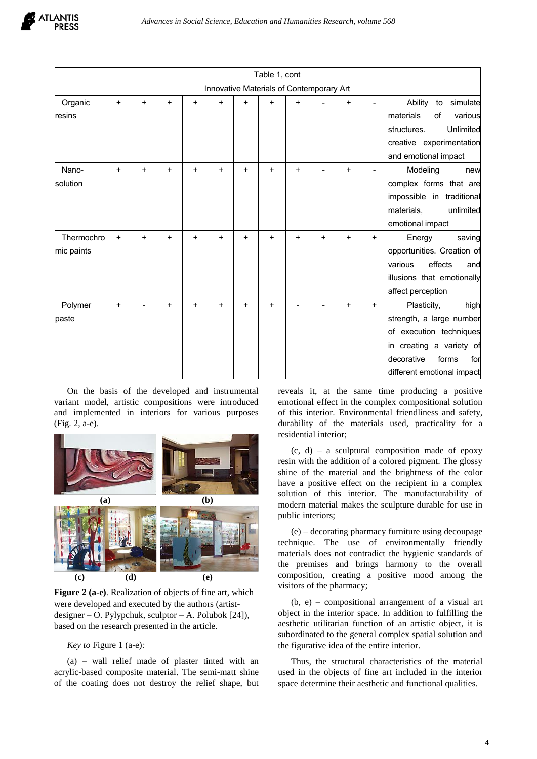|            |           |           |   |           |           |           | Table 1, cont                            |           |           |           |     |                            |
|------------|-----------|-----------|---|-----------|-----------|-----------|------------------------------------------|-----------|-----------|-----------|-----|----------------------------|
|            |           |           |   |           |           |           | Innovative Materials of Contemporary Art |           |           |           |     |                            |
| Organic    | $\ddot{}$ | $\ddot{}$ | + | $\ddot{}$ | $\ddot{}$ | $\ddot{}$ | $\ddot{}$                                | $\ddot{}$ |           | $\ddot{}$ |     | Ability<br>simulate<br>to  |
| resins     |           |           |   |           |           |           |                                          |           |           |           |     | materials<br>various<br>of |
|            |           |           |   |           |           |           |                                          |           |           |           |     | Unlimited<br>structures.   |
|            |           |           |   |           |           |           |                                          |           |           |           |     | creative experimentation   |
|            |           |           |   |           |           |           |                                          |           |           |           |     | and emotional impact       |
| Nano-      | $+$       | $\ddot{}$ | + | $\ddot{}$ | $\ddot{}$ | $\ddot{}$ | $\ddot{}$                                | $\ddot{}$ |           | $\ddot{}$ |     | Modeling<br>new            |
| solution   |           |           |   |           |           |           |                                          |           |           |           |     | complex forms that are     |
|            |           |           |   |           |           |           |                                          |           |           |           |     | impossible in traditional  |
|            |           |           |   |           |           |           |                                          |           |           |           |     | materials,<br>unlimited    |
|            |           |           |   |           |           |           |                                          |           |           |           |     | emotional impact           |
| Thermochro | $+$       | $\ddot{}$ | + | ÷         | $\ddot{}$ | $\ddot{}$ | +                                        | $\ddot{}$ | $\ddot{}$ | $\ddot{}$ | $+$ | Energy<br>saving           |
| mic paints |           |           |   |           |           |           |                                          |           |           |           |     | opportunities. Creation of |
|            |           |           |   |           |           |           |                                          |           |           |           |     | effects<br>various<br>and  |
|            |           |           |   |           |           |           |                                          |           |           |           |     | illusions that emotionally |
|            |           |           |   |           |           |           |                                          |           |           |           |     | affect perception          |
| Polymer    | $\ddot{}$ |           | + | ÷         | +         | $\ddot{}$ | $\ddot{}$                                |           |           | $\ddot{}$ | $+$ | Plasticity,<br>high        |
| paste      |           |           |   |           |           |           |                                          |           |           |           |     | strength, a large number   |
|            |           |           |   |           |           |           |                                          |           |           |           |     | of execution techniques    |
|            |           |           |   |           |           |           |                                          |           |           |           |     | in creating a variety of   |
|            |           |           |   |           |           |           |                                          |           |           |           |     | decorative<br>forms<br>for |
|            |           |           |   |           |           |           |                                          |           |           |           |     | different emotional impact |

On the basis of the developed and instrumental variant model, artistic compositions were introduced and implemented in interiors for various purposes (Fig. 2, a-e).



**Figure 2 (a-e)**. Realization of objects of fine art, which were developed and executed by the authors (artistdesigner – O. Pylypchuk, sculptor – A. Polubok  $[24]$ ), based on the research presented in the article.

*Key to* Figure 1 (a-e)*:*

(a) – wall relief made of plaster tinted with an acrylic-based composite material. The semi-matt shine of the coating does not destroy the relief shape, but

reveals it, at the same time producing a positive emotional effect in the complex compositional solution of this interior. Environmental friendliness and safety, durability of the materials used, practicality for a residential interior;

 $(c, d)$  – a sculptural composition made of epoxy resin with the addition of a colored pigment. The glossy shine of the material and the brightness of the color have a positive effect on the recipient in a complex solution of this interior. The manufacturability of modern material makes the sculpture durable for use in public interiors;

(e) – decorating pharmacy furniture using decoupage technique. The use of environmentally friendly materials does not contradict the hygienic standards of the premises and brings harmony to the overall composition, creating a positive mood among the visitors of the pharmacy;

(b, e) – compositional arrangement of a visual art object in the interior space. In addition to fulfilling the aesthetic utilitarian function of an artistic object, it is subordinated to the general complex spatial solution and the figurative idea of the entire interior.

Thus, the structural characteristics of the material used in the objects of fine art included in the interior space determine their aesthetic and functional qualities.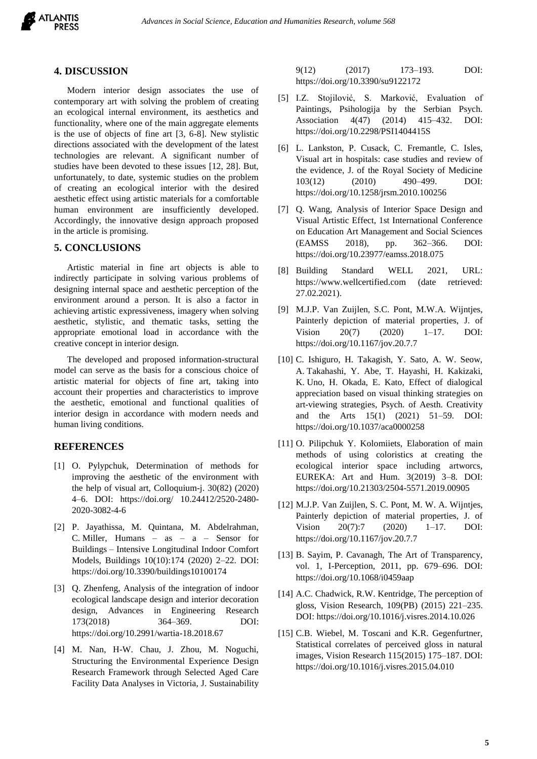

#### **4. DISCUSSION**

Modern interior design associates the use of contemporary art with solving the problem of creating an ecological internal environment, its aesthetics and functionality, where one of the main aggregate elements is the use of objects of fine art [3, 6-8]. New stylistic directions associated with the development of the latest technologies are relevant. A significant number of studies have been devoted to these issues [12, 28]. But, unfortunately, to date, systemic studies on the problem of creating an ecological interior with the desired aesthetic effect using artistic materials for a comfortable human environment are insufficiently developed. Accordingly, the innovative design approach proposed in the article is promising.

## **5. CONCLUSIONS**

Artistic material in fine art objects is able to indirectly participate in solving various problems of designing internal space and aesthetic perception of the environment around a person. It is also a factor in achieving artistic expressiveness, imagery when solving aesthetic, stylistic, and thematic tasks, setting the appropriate emotional load in accordance with the creative concept in interior design.

The developed and proposed information-structural model can serve as the basis for a conscious choice of artistic material for objects of fine art, taking into account their properties and characteristics to improve the aesthetic, emotional and functional qualities of interior design in accordance with modern needs and human living conditions.

#### **REFERENCES**

- [1] O. Pylypchuk, Determination of methods for improving the aesthetic of the environment with the help of visual art, Colloquium-j. 30(82) (2020) 4–6. DOI: https://doi.org/ 10.24412/2520-2480- 2020-3082-4-6
- [2] P. Jayathissa, M. Quintana, M. Abdelrahman, C. Miller, Humans – as – a – Sensor for Buildings – Intensive Longitudinal Indoor Comfort Models, Buildings 10(10):174 (2020) 2–22. DOI: https://doi.org/10.3390/buildings10100174
- [3] Q. Zhenfeng, Analysis of the integration of indoor ecological landscape design and interior decoration design, Advances in Engineering Research 173(2018) 364–369. DOI: https://doi.org/10.2991/wartia-18.2018.67
- [4] M. Nan, H-W. Chau, J. Zhou, M. Noguchi, Structuring the Environmental Experience Design Research Framework through Selected Aged Care Facility Data Analyses in Victoria, J. Sustainability

9(12) (2017) 173–193. DOI: https://doi.org/10.3390/su9122172

- [5] I.Z. Stojilović, S. Marković, Evaluation of Paintings, Psihologija by the Serbian Psych. Association 4(47) (2014) 415–432. DOI: https://doi.org/10.2298/PSI1404415S
- [6] L. Lankston, P. Cusack, C. Fremantle, C. Isles, Visual art in hospitals: case studies and review of the evidence, J. of the Royal Society of Medicine 103(12) (2010) 490–499. DOI: https://doi.org/10.1258/jrsm.2010.100256
- [7] Q. Wang, Analysis of Interior Space Design and Visual Artistic Effect, 1st International Conference on Education Art Management and Social Sciences (EAMSS 2018), pp. 362–366. DOI: https://doi.org/10.23977/eamss.2018.075
- [8] Building Standard WELL 2021, URL: https://www.wellcertified.com (date retrieved: 27.02.2021).
- [9] M.J.P. Van Zuijlen, S.C. Pont, M.W.A. Wijntjes, Painterly depiction of material properties, J. of Vision 20(7) (2020) 1–17. DOI: https://doi.org/10.1167/jov.20.7.7
- [10] C. Ishiguro, H. Takagish, Y. Sato, A. W. Seow, A. Takahashi, Y. Abe, T. Hayashi, H. Kakizaki, K. Uno, H. Okada, E. Kato, Effect of dialogical appreciation based on visual thinking strategies on art-viewing strategies, Psych. of Aesth. Creativity and the Arts 15(1) (2021) 51–59. DOI: https://doi.org/10.1037/aca0000258
- [11] O. Pilipchuk Y. Kolomiiets, Elaboration of main methods of using coloristics at creating the ecological interior space including artworcs, EUREKA: Art and Hum. 3(2019) 3–8. DOI: https://doi.org/10.21303/2504-5571.2019.00905
- [12] M.J.P. Van Zuijlen, S. C. Pont, M. W. A. Wijntjes, Painterly depiction of material properties, J. of Vision 20(7):7 (2020) 1–17. DOI: https://doi.org/10.1167/jov.20.7.7
- [13] B. Sayim, P. Cavanagh, The Art of Transparency, vol. 1, I-Perception, 2011, pp. 679–696. DOI: https://doi.org/10.1068/i0459aap
- [14] A.C. Chadwick, R.W. Kentridge, The perception of gloss, Vision Research, 109(PB) (2015) 221–235. DOI: https://doi.org/10.1016/j.visres.2014.10.026
- [15] C.B. Wiebel, M. Toscani and K.R. Gegenfurtner, Statistical correlates of perceived gloss in natural images, Vision Research 115(2015) 175–187. DOI: https://doi.org/10.1016/j.visres.2015.04.010